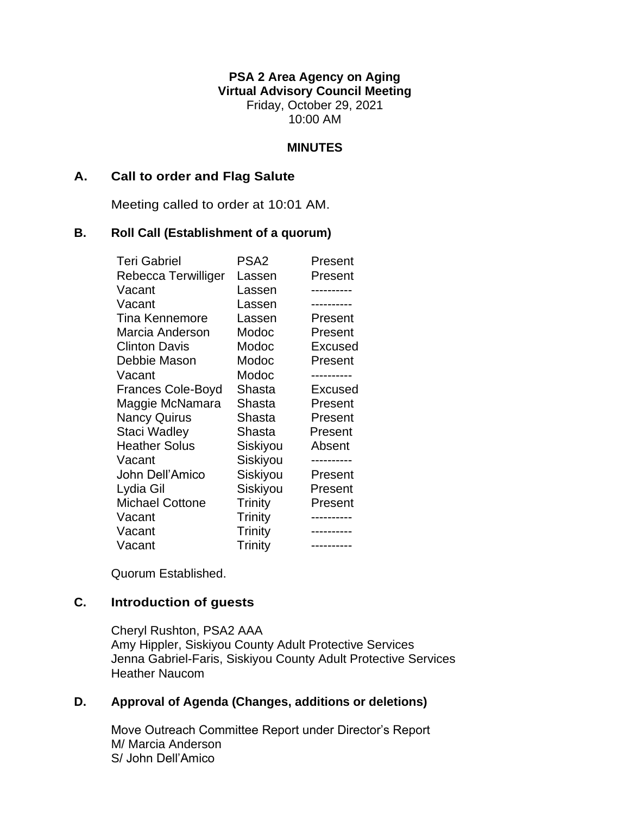**PSA 2 Area Agency on Aging Virtual Advisory Council Meeting** Friday, October 29, 2021 10:00 AM

#### **MINUTES**

#### **A. Call to order and Flag Salute**

Meeting called to order at 10:01 AM.

## **B. Roll Call (Establishment of a quorum)**

| <b>Teri Gabriel</b>      | PSA2           | Present        |
|--------------------------|----------------|----------------|
| Rebecca Terwilliger      | Lassen         | Present        |
| Vacant                   | Lassen         |                |
| Vacant                   | Lassen         |                |
| <b>Tina Kennemore</b>    | Lassen         | Present        |
| Marcia Anderson          | Modoc          | Present        |
| <b>Clinton Davis</b>     | Modoc          | Excused        |
| Debbie Mason             | Modoc          | Present        |
| Vacant                   | Modoc          |                |
| <b>Frances Cole-Boyd</b> | Shasta         | <b>Excused</b> |
| Maggie McNamara          | Shasta         | Present        |
| <b>Nancy Quirus</b>      | Shasta         | Present        |
| Staci Wadley             | Shasta         | Present        |
| <b>Heather Solus</b>     | Siskiyou       | Absent         |
| Vacant                   | Siskiyou       |                |
| John Dell'Amico          | Siskiyou       | Present        |
| Lydia Gil                | Siskiyou       | Present        |
| <b>Michael Cottone</b>   | Trinity        | Present        |
| Vacant                   | <b>Trinity</b> |                |
| Vacant                   | Trinity        |                |
| Vacant                   | Trinity        | ----------     |

Quorum Established.

# **C. Introduction of guests**

Cheryl Rushton, PSA2 AAA Amy Hippler, Siskiyou County Adult Protective Services Jenna Gabriel-Faris, Siskiyou County Adult Protective Services Heather Naucom

#### **D. Approval of Agenda (Changes, additions or deletions)**

Move Outreach Committee Report under Director's Report M/ Marcia Anderson S/ John Dell'Amico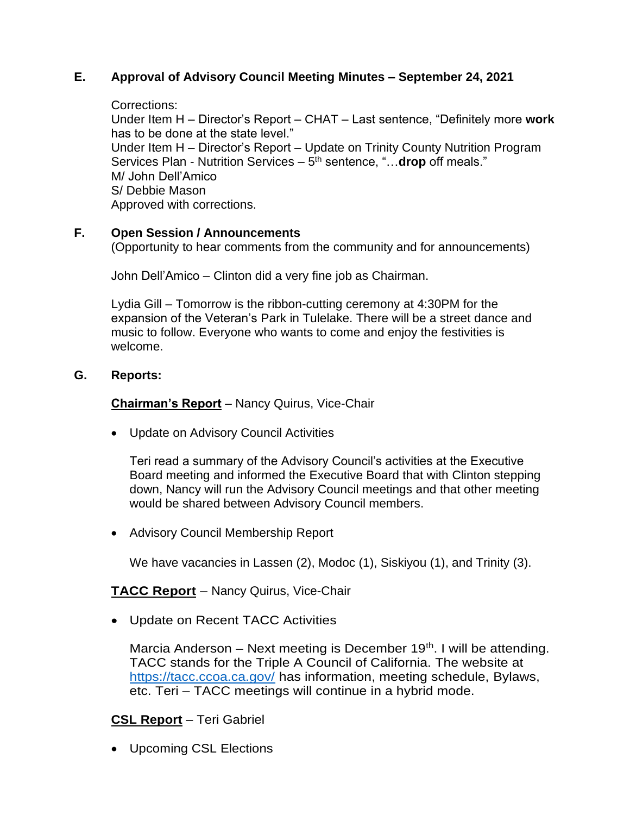# **E. Approval of Advisory Council Meeting Minutes – September 24, 2021**

Corrections: Under Item H – Director's Report – CHAT – Last sentence, "Definitely more **work** has to be done at the state level." Under Item H – Director's Report – Update on Trinity County Nutrition Program Services Plan - Nutrition Services – 5<sup>th</sup> sentence, "... drop off meals." M/ John Dell'Amico S/ Debbie Mason Approved with corrections.

## **F. Open Session / Announcements**

(Opportunity to hear comments from the community and for announcements)

John Dell'Amico – Clinton did a very fine job as Chairman.

Lydia Gill – Tomorrow is the ribbon-cutting ceremony at 4:30PM for the expansion of the Veteran's Park in Tulelake. There will be a street dance and music to follow. Everyone who wants to come and enjoy the festivities is welcome.

#### **G. Reports:**

#### **Chairman's Report** – Nancy Quirus, Vice-Chair

• Update on Advisory Council Activities

Teri read a summary of the Advisory Council's activities at the Executive Board meeting and informed the Executive Board that with Clinton stepping down, Nancy will run the Advisory Council meetings and that other meeting would be shared between Advisory Council members.

• Advisory Council Membership Report

We have vacancies in Lassen (2), Modoc (1), Siskiyou (1), and Trinity (3).

### **TACC Report** – Nancy Quirus, Vice-Chair

• Update on Recent TACC Activities

Marcia Anderson – Next meeting is December 19<sup>th</sup>. I will be attending. TACC stands for the Triple A Council of California. The website at <https://tacc.ccoa.ca.gov/> has information, meeting schedule, Bylaws, etc. Teri – TACC meetings will continue in a hybrid mode.

### **CSL Report** – Teri Gabriel

• Upcoming CSL Elections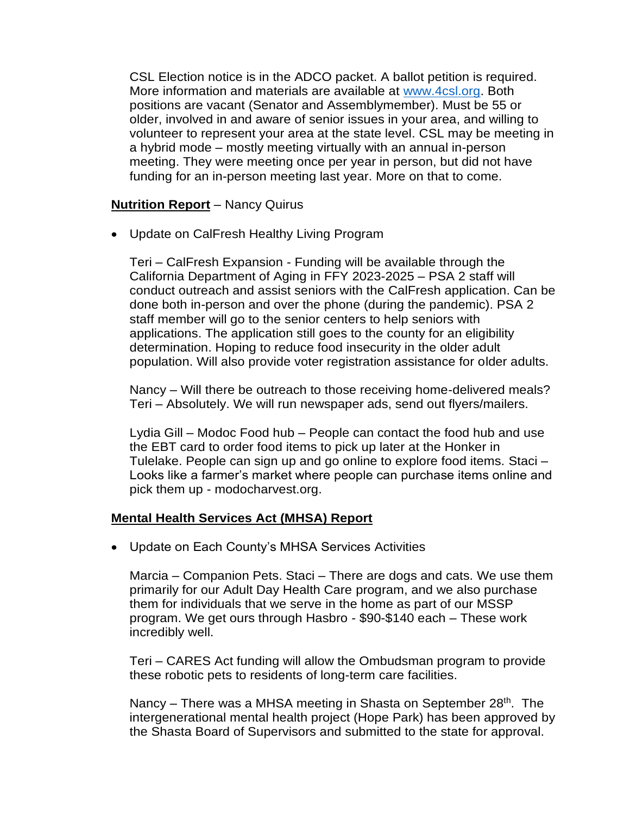CSL Election notice is in the ADCO packet. A ballot petition is required. More information and materials are available at [www.4csl.org.](http://www.4csl.org/) Both positions are vacant (Senator and Assemblymember). Must be 55 or older, involved in and aware of senior issues in your area, and willing to volunteer to represent your area at the state level. CSL may be meeting in a hybrid mode – mostly meeting virtually with an annual in-person meeting. They were meeting once per year in person, but did not have funding for an in-person meeting last year. More on that to come.

#### **Nutrition Report** – Nancy Quirus

• Update on CalFresh Healthy Living Program

Teri – CalFresh Expansion - Funding will be available through the California Department of Aging in FFY 2023-2025 – PSA 2 staff will conduct outreach and assist seniors with the CalFresh application. Can be done both in-person and over the phone (during the pandemic). PSA 2 staff member will go to the senior centers to help seniors with applications. The application still goes to the county for an eligibility determination. Hoping to reduce food insecurity in the older adult population. Will also provide voter registration assistance for older adults.

Nancy – Will there be outreach to those receiving home-delivered meals? Teri – Absolutely. We will run newspaper ads, send out flyers/mailers.

Lydia Gill – Modoc Food hub – People can contact the food hub and use the EBT card to order food items to pick up later at the Honker in Tulelake. People can sign up and go online to explore food items. Staci – Looks like a farmer's market where people can purchase items online and pick them up - modocharvest.org.

### **Mental Health Services Act (MHSA) Report**

• Update on Each County's MHSA Services Activities

Marcia – Companion Pets. Staci – There are dogs and cats. We use them primarily for our Adult Day Health Care program, and we also purchase them for individuals that we serve in the home as part of our MSSP program. We get ours through Hasbro - \$90-\$140 each – These work incredibly well.

Teri – CARES Act funding will allow the Ombudsman program to provide these robotic pets to residents of long-term care facilities.

Nancy – There was a MHSA meeting in Shasta on September 28<sup>th</sup>. The intergenerational mental health project (Hope Park) has been approved by the Shasta Board of Supervisors and submitted to the state for approval.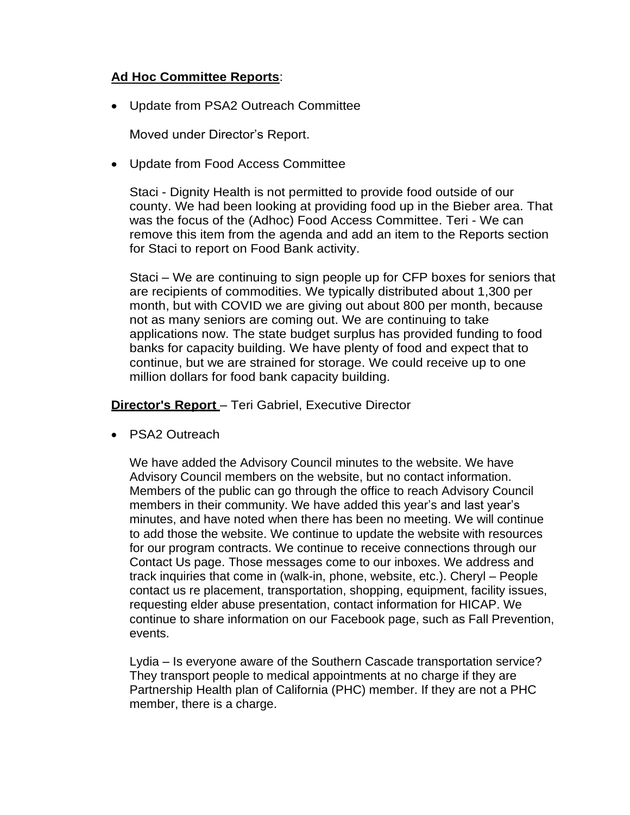## **Ad Hoc Committee Reports**:

• Update from PSA2 Outreach Committee

Moved under Director's Report.

• Update from Food Access Committee

Staci - Dignity Health is not permitted to provide food outside of our county. We had been looking at providing food up in the Bieber area. That was the focus of the (Adhoc) Food Access Committee. Teri - We can remove this item from the agenda and add an item to the Reports section for Staci to report on Food Bank activity.

Staci – We are continuing to sign people up for CFP boxes for seniors that are recipients of commodities. We typically distributed about 1,300 per month, but with COVID we are giving out about 800 per month, because not as many seniors are coming out. We are continuing to take applications now. The state budget surplus has provided funding to food banks for capacity building. We have plenty of food and expect that to continue, but we are strained for storage. We could receive up to one million dollars for food bank capacity building.

**Director's Report** – Teri Gabriel, Executive Director

• PSA2 Outreach

We have added the Advisory Council minutes to the website. We have Advisory Council members on the website, but no contact information. Members of the public can go through the office to reach Advisory Council members in their community. We have added this year's and last year's minutes, and have noted when there has been no meeting. We will continue to add those the website. We continue to update the website with resources for our program contracts. We continue to receive connections through our Contact Us page. Those messages come to our inboxes. We address and track inquiries that come in (walk-in, phone, website, etc.). Cheryl – People contact us re placement, transportation, shopping, equipment, facility issues, requesting elder abuse presentation, contact information for HICAP. We continue to share information on our Facebook page, such as Fall Prevention, events.

Lydia – Is everyone aware of the Southern Cascade transportation service? They transport people to medical appointments at no charge if they are Partnership Health plan of California (PHC) member. If they are not a PHC member, there is a charge.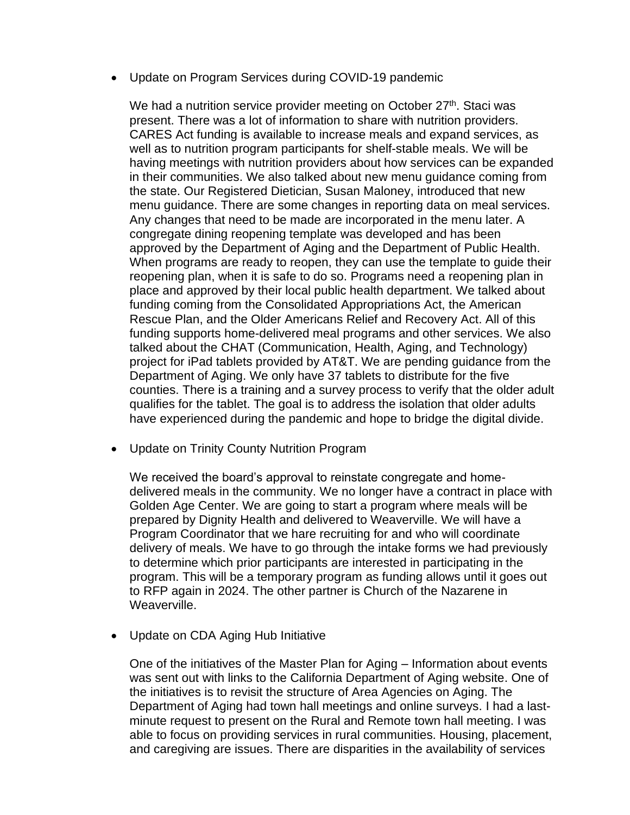• Update on Program Services during COVID-19 pandemic

We had a nutrition service provider meeting on October 27<sup>th</sup>. Staci was present. There was a lot of information to share with nutrition providers. CARES Act funding is available to increase meals and expand services, as well as to nutrition program participants for shelf-stable meals. We will be having meetings with nutrition providers about how services can be expanded in their communities. We also talked about new menu guidance coming from the state. Our Registered Dietician, Susan Maloney, introduced that new menu guidance. There are some changes in reporting data on meal services. Any changes that need to be made are incorporated in the menu later. A congregate dining reopening template was developed and has been approved by the Department of Aging and the Department of Public Health. When programs are ready to reopen, they can use the template to guide their reopening plan, when it is safe to do so. Programs need a reopening plan in place and approved by their local public health department. We talked about funding coming from the Consolidated Appropriations Act, the American Rescue Plan, and the Older Americans Relief and Recovery Act. All of this funding supports home-delivered meal programs and other services. We also talked about the CHAT (Communication, Health, Aging, and Technology) project for iPad tablets provided by AT&T. We are pending guidance from the Department of Aging. We only have 37 tablets to distribute for the five counties. There is a training and a survey process to verify that the older adult qualifies for the tablet. The goal is to address the isolation that older adults have experienced during the pandemic and hope to bridge the digital divide.

• Update on Trinity County Nutrition Program

We received the board's approval to reinstate congregate and homedelivered meals in the community. We no longer have a contract in place with Golden Age Center. We are going to start a program where meals will be prepared by Dignity Health and delivered to Weaverville. We will have a Program Coordinator that we hare recruiting for and who will coordinate delivery of meals. We have to go through the intake forms we had previously to determine which prior participants are interested in participating in the program. This will be a temporary program as funding allows until it goes out to RFP again in 2024. The other partner is Church of the Nazarene in Weaverville.

• Update on CDA Aging Hub Initiative

One of the initiatives of the Master Plan for Aging – Information about events was sent out with links to the California Department of Aging website. One of the initiatives is to revisit the structure of Area Agencies on Aging. The Department of Aging had town hall meetings and online surveys. I had a lastminute request to present on the Rural and Remote town hall meeting. I was able to focus on providing services in rural communities. Housing, placement, and caregiving are issues. There are disparities in the availability of services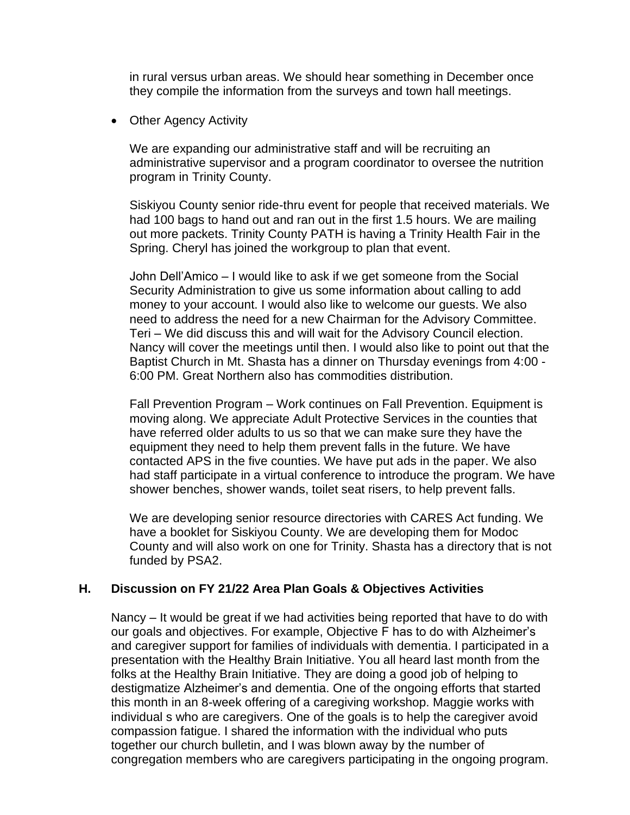in rural versus urban areas. We should hear something in December once they compile the information from the surveys and town hall meetings.

• Other Agency Activity

We are expanding our administrative staff and will be recruiting an administrative supervisor and a program coordinator to oversee the nutrition program in Trinity County.

Siskiyou County senior ride-thru event for people that received materials. We had 100 bags to hand out and ran out in the first 1.5 hours. We are mailing out more packets. Trinity County PATH is having a Trinity Health Fair in the Spring. Cheryl has joined the workgroup to plan that event.

John Dell'Amico – I would like to ask if we get someone from the Social Security Administration to give us some information about calling to add money to your account. I would also like to welcome our guests. We also need to address the need for a new Chairman for the Advisory Committee. Teri – We did discuss this and will wait for the Advisory Council election. Nancy will cover the meetings until then. I would also like to point out that the Baptist Church in Mt. Shasta has a dinner on Thursday evenings from 4:00 - 6:00 PM. Great Northern also has commodities distribution.

Fall Prevention Program – Work continues on Fall Prevention. Equipment is moving along. We appreciate Adult Protective Services in the counties that have referred older adults to us so that we can make sure they have the equipment they need to help them prevent falls in the future. We have contacted APS in the five counties. We have put ads in the paper. We also had staff participate in a virtual conference to introduce the program. We have shower benches, shower wands, toilet seat risers, to help prevent falls.

We are developing senior resource directories with CARES Act funding. We have a booklet for Siskiyou County. We are developing them for Modoc County and will also work on one for Trinity. Shasta has a directory that is not funded by PSA2.

### **H. Discussion on FY 21/22 Area Plan Goals & Objectives Activities**

Nancy – It would be great if we had activities being reported that have to do with our goals and objectives. For example, Objective F has to do with Alzheimer's and caregiver support for families of individuals with dementia. I participated in a presentation with the Healthy Brain Initiative. You all heard last month from the folks at the Healthy Brain Initiative. They are doing a good job of helping to destigmatize Alzheimer's and dementia. One of the ongoing efforts that started this month in an 8-week offering of a caregiving workshop. Maggie works with individual s who are caregivers. One of the goals is to help the caregiver avoid compassion fatigue. I shared the information with the individual who puts together our church bulletin, and I was blown away by the number of congregation members who are caregivers participating in the ongoing program.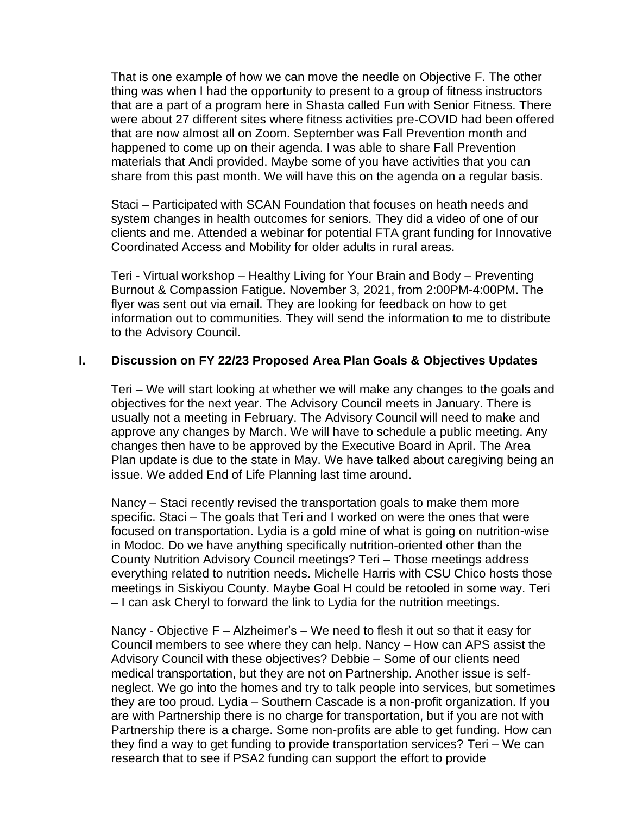That is one example of how we can move the needle on Objective F. The other thing was when I had the opportunity to present to a group of fitness instructors that are a part of a program here in Shasta called Fun with Senior Fitness. There were about 27 different sites where fitness activities pre-COVID had been offered that are now almost all on Zoom. September was Fall Prevention month and happened to come up on their agenda. I was able to share Fall Prevention materials that Andi provided. Maybe some of you have activities that you can share from this past month. We will have this on the agenda on a regular basis.

Staci – Participated with SCAN Foundation that focuses on heath needs and system changes in health outcomes for seniors. They did a video of one of our clients and me. Attended a webinar for potential FTA grant funding for Innovative Coordinated Access and Mobility for older adults in rural areas.

Teri - Virtual workshop – Healthy Living for Your Brain and Body – Preventing Burnout & Compassion Fatigue. November 3, 2021, from 2:00PM-4:00PM. The flyer was sent out via email. They are looking for feedback on how to get information out to communities. They will send the information to me to distribute to the Advisory Council.

### **I. Discussion on FY 22/23 Proposed Area Plan Goals & Objectives Updates**

Teri – We will start looking at whether we will make any changes to the goals and objectives for the next year. The Advisory Council meets in January. There is usually not a meeting in February. The Advisory Council will need to make and approve any changes by March. We will have to schedule a public meeting. Any changes then have to be approved by the Executive Board in April. The Area Plan update is due to the state in May. We have talked about caregiving being an issue. We added End of Life Planning last time around.

Nancy – Staci recently revised the transportation goals to make them more specific. Staci – The goals that Teri and I worked on were the ones that were focused on transportation. Lydia is a gold mine of what is going on nutrition-wise in Modoc. Do we have anything specifically nutrition-oriented other than the County Nutrition Advisory Council meetings? Teri – Those meetings address everything related to nutrition needs. Michelle Harris with CSU Chico hosts those meetings in Siskiyou County. Maybe Goal H could be retooled in some way. Teri – I can ask Cheryl to forward the link to Lydia for the nutrition meetings.

Nancy - Objective F – Alzheimer's – We need to flesh it out so that it easy for Council members to see where they can help. Nancy – How can APS assist the Advisory Council with these objectives? Debbie – Some of our clients need medical transportation, but they are not on Partnership. Another issue is selfneglect. We go into the homes and try to talk people into services, but sometimes they are too proud. Lydia – Southern Cascade is a non-profit organization. If you are with Partnership there is no charge for transportation, but if you are not with Partnership there is a charge. Some non-profits are able to get funding. How can they find a way to get funding to provide transportation services? Teri – We can research that to see if PSA2 funding can support the effort to provide